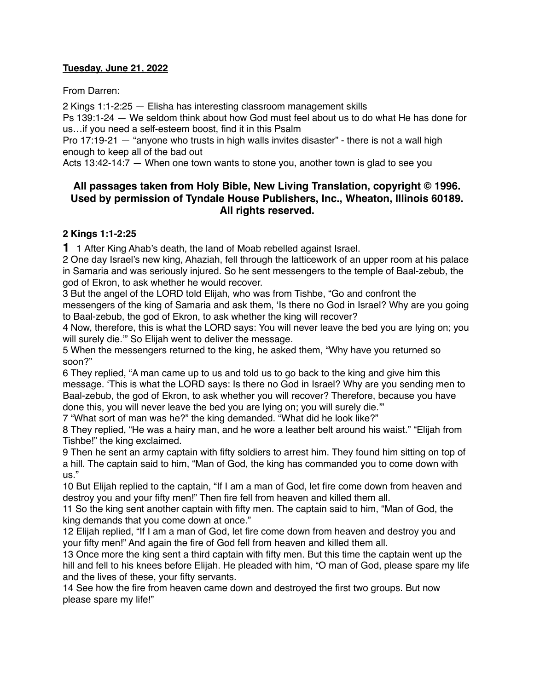#### **Tuesday, June 21, 2022**

From Darren:

2 Kings 1:1-2:25 — Elisha has interesting classroom management skills

Ps 139:1-24 — We seldom think about how God must feel about us to do what He has done for us…if you need a self-esteem boost, find it in this Psalm

Pro 17:19-21 — "anyone who trusts in high walls invites disaster" - there is not a wall high enough to keep all of the bad out

Acts 13:42-14:7 — When one town wants to stone you, another town is glad to see you

# **All passages taken from Holy Bible, [New Living Translation](http://www.newlivingtranslation.com/), copyright © 1996. Used by permission of [Tyndale House Publishers](http://tyndale.com/), Inc., Wheaton, Illinois 60189. All rights reserved.**

#### **2 Kings 1:1-2:25**

**1** 1 After King Ahab's death, the land of Moab rebelled against Israel.

2 One day Israel's new king, Ahaziah, fell through the latticework of an upper room at his palace in Samaria and was seriously injured. So he sent messengers to the temple of Baal-zebub, the god of Ekron, to ask whether he would recover.

3 But the angel of the LORD told Elijah, who was from Tishbe, "Go and confront the messengers of the king of Samaria and ask them, 'Is there no God in Israel? Why are you going to Baal-zebub, the god of Ekron, to ask whether the king will recover?

4 Now, therefore, this is what the LORD says: You will never leave the bed you are lying on; you will surely die." So Elijah went to deliver the message.

5 When the messengers returned to the king, he asked them, "Why have you returned so soon?"

6 They replied, "A man came up to us and told us to go back to the king and give him this message. 'This is what the LORD says: Is there no God in Israel? Why are you sending men to Baal-zebub, the god of Ekron, to ask whether you will recover? Therefore, because you have done this, you will never leave the bed you are lying on; you will surely die.'"

7 "What sort of man was he?" the king demanded. "What did he look like?"

8 They replied, "He was a hairy man, and he wore a leather belt around his waist." "Elijah from Tishbe!" the king exclaimed.

9 Then he sent an army captain with fifty soldiers to arrest him. They found him sitting on top of a hill. The captain said to him, "Man of God, the king has commanded you to come down with us."

10 But Elijah replied to the captain, "If I am a man of God, let fire come down from heaven and destroy you and your fifty men!" Then fire fell from heaven and killed them all.

11 So the king sent another captain with fifty men. The captain said to him, "Man of God, the king demands that you come down at once."

12 Elijah replied, "If I am a man of God, let fire come down from heaven and destroy you and your fifty men!" And again the fire of God fell from heaven and killed them all.

13 Once more the king sent a third captain with fifty men. But this time the captain went up the hill and fell to his knees before Elijah. He pleaded with him, "O man of God, please spare my life and the lives of these, your fifty servants.

14 See how the fire from heaven came down and destroyed the first two groups. But now please spare my life!"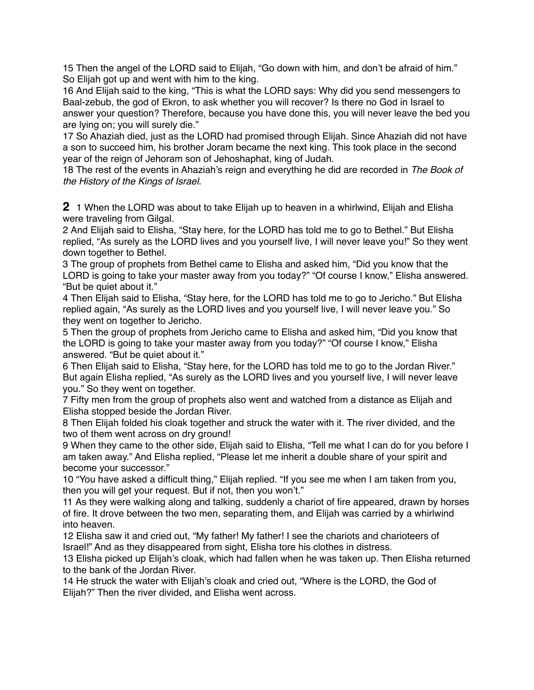15 Then the angel of the LORD said to Elijah, "Go down with him, and don't be afraid of him." So Elijah got up and went with him to the king.

16 And Elijah said to the king, "This is what the LORD says: Why did you send messengers to Baal-zebub, the god of Ekron, to ask whether you will recover? Is there no God in Israel to answer your question? Therefore, because you have done this, you will never leave the bed you are lying on; you will surely die."

17 So Ahaziah died, just as the LORD had promised through Elijah. Since Ahaziah did not have a son to succeed him, his brother Joram became the next king. This took place in the second year of the reign of Jehoram son of Jehoshaphat, king of Judah.

18 The rest of the events in Ahaziah's reign and everything he did are recorded in *The Book of the History of the Kings of Israel.*

**2** 1 When the LORD was about to take Elijah up to heaven in a whirlwind, Elijah and Elisha were traveling from Gilgal.

2 And Elijah said to Elisha, "Stay here, for the LORD has told me to go to Bethel." But Elisha replied, "As surely as the LORD lives and you yourself live, I will never leave you!" So they went down together to Bethel.

3 The group of prophets from Bethel came to Elisha and asked him, "Did you know that the LORD is going to take your master away from you today?" "Of course I know," Elisha answered. "But be quiet about it."

4 Then Elijah said to Elisha, "Stay here, for the LORD has told me to go to Jericho." But Elisha replied again, "As surely as the LORD lives and you yourself live, I will never leave you." So they went on together to Jericho.

5 Then the group of prophets from Jericho came to Elisha and asked him, "Did you know that the LORD is going to take your master away from you today?" "Of course I know," Elisha answered. "But be quiet about it."

6 Then Elijah said to Elisha, "Stay here, for the LORD has told me to go to the Jordan River." But again Elisha replied, "As surely as the LORD lives and you yourself live, I will never leave you." So they went on together.

7 Fifty men from the group of prophets also went and watched from a distance as Elijah and Elisha stopped beside the Jordan River.

8 Then Elijah folded his cloak together and struck the water with it. The river divided, and the two of them went across on dry ground!

9 When they came to the other side, Elijah said to Elisha, "Tell me what I can do for you before I am taken away." And Elisha replied, "Please let me inherit a double share of your spirit and become your successor."

10 "You have asked a difficult thing," Elijah replied. "If you see me when I am taken from you, then you will get your request. But if not, then you won't."

11 As they were walking along and talking, suddenly a chariot of fire appeared, drawn by horses of fire. It drove between the two men, separating them, and Elijah was carried by a whirlwind into heaven.

12 Elisha saw it and cried out, "My father! My father! I see the chariots and charioteers of Israel!" And as they disappeared from sight, Elisha tore his clothes in distress.

13 Elisha picked up Elijah's cloak, which had fallen when he was taken up. Then Elisha returned to the bank of the Jordan River.

14 He struck the water with Elijah's cloak and cried out, "Where is the LORD, the God of Elijah?" Then the river divided, and Elisha went across.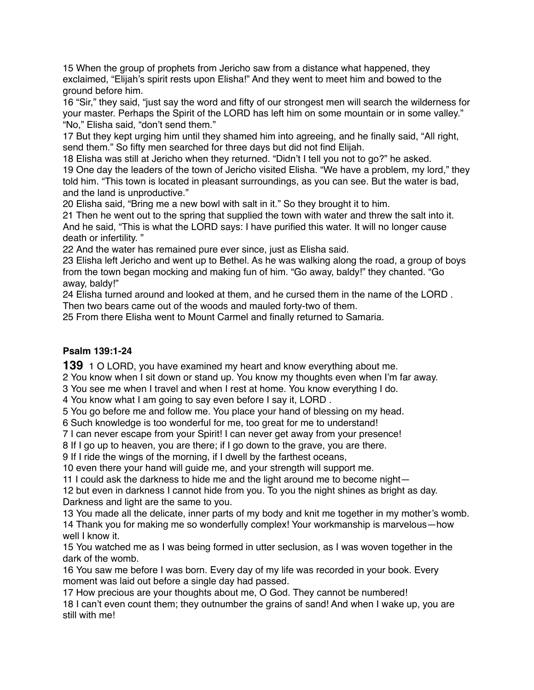When the group of prophets from Jericho saw from a distance what happened, they exclaimed, "Elijah's spirit rests upon Elisha!" And they went to meet him and bowed to the ground before him.

 "Sir," they said, "just say the word and fifty of our strongest men will search the wilderness for your master. Perhaps the Spirit of the LORD has left him on some mountain or in some valley." "No," Elisha said, "don't send them."

 But they kept urging him until they shamed him into agreeing, and he finally said, "All right, send them." So fifty men searched for three days but did not find Elijah.

 Elisha was still at Jericho when they returned. "Didn't I tell you not to go?" he asked. One day the leaders of the town of Jericho visited Elisha. "We have a problem, my lord," they told him. "This town is located in pleasant surroundings, as you can see. But the water is bad, and the land is unproductive."

Elisha said, "Bring me a new bowl with salt in it." So they brought it to him.

 Then he went out to the spring that supplied the town with water and threw the salt into it. And he said, "This is what the LORD says: I have purified this water. It will no longer cause death or infertility. "

And the water has remained pure ever since, just as Elisha said.

 Elisha left Jericho and went up to Bethel. As he was walking along the road, a group of boys from the town began mocking and making fun of him. "Go away, baldy!" they chanted. "Go away, baldy!"

Elisha turned around and looked at them, and he cursed them in the name of the LORD .

Then two bears came out of the woods and mauled forty-two of them.

From there Elisha went to Mount Carmel and finally returned to Samaria.

# **Psalm 139:1-24**

1 O LORD, you have examined my heart and know everything about me.

You know when I sit down or stand up. You know my thoughts even when I'm far away.

You see me when I travel and when I rest at home. You know everything I do.

You know what I am going to say even before I say it, LORD .

You go before me and follow me. You place your hand of blessing on my head.

Such knowledge is too wonderful for me, too great for me to understand!

I can never escape from your Spirit! I can never get away from your presence!

If I go up to heaven, you are there; if I go down to the grave, you are there.

If I ride the wings of the morning, if I dwell by the farthest oceans,

even there your hand will guide me, and your strength will support me.

I could ask the darkness to hide me and the light around me to become night—

 but even in darkness I cannot hide from you. To you the night shines as bright as day. Darkness and light are the same to you.

 You made all the delicate, inner parts of my body and knit me together in my mother's womb. Thank you for making me so wonderfully complex! Your workmanship is marvelous—how well I know it.

 You watched me as I was being formed in utter seclusion, as I was woven together in the dark of the womb.

 You saw me before I was born. Every day of my life was recorded in your book. Every moment was laid out before a single day had passed.

 How precious are your thoughts about me, O God. They cannot be numbered! I can't even count them; they outnumber the grains of sand! And when I wake up, you are still with me!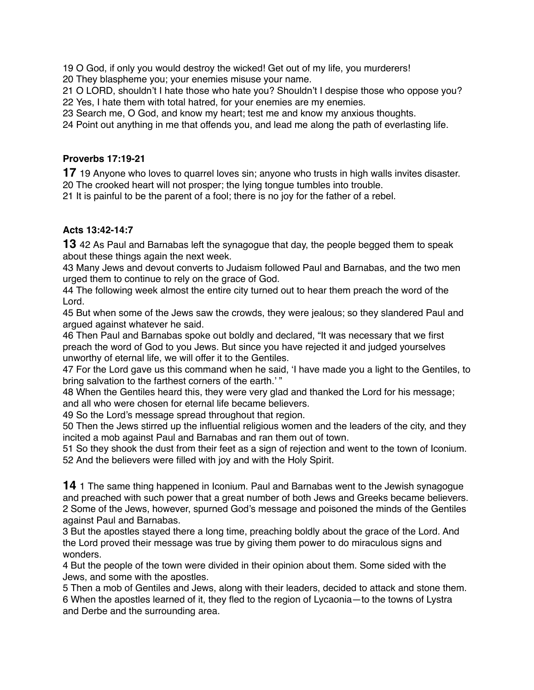O God, if only you would destroy the wicked! Get out of my life, you murderers!

They blaspheme you; your enemies misuse your name.

 O LORD, shouldn't I hate those who hate you? Shouldn't I despise those who oppose you? Yes, I hate them with total hatred, for your enemies are my enemies.

Search me, O God, and know my heart; test me and know my anxious thoughts.

Point out anything in me that offends you, and lead me along the path of everlasting life.

#### **Proverbs 17:19-21**

19 Anyone who loves to quarrel loves sin; anyone who trusts in high walls invites disaster. The crooked heart will not prosper; the lying tongue tumbles into trouble.

It is painful to be the parent of a fool; there is no joy for the father of a rebel.

# **Acts 13:42-14:7**

42 As Paul and Barnabas left the synagogue that day, the people begged them to speak about these things again the next week.

 Many Jews and devout converts to Judaism followed Paul and Barnabas, and the two men urged them to continue to rely on the grace of God.

 The following week almost the entire city turned out to hear them preach the word of the Lord.

 But when some of the Jews saw the crowds, they were jealous; so they slandered Paul and argued against whatever he said.

 Then Paul and Barnabas spoke out boldly and declared, "It was necessary that we first preach the word of God to you Jews. But since you have rejected it and judged yourselves unworthy of eternal life, we will offer it to the Gentiles.

 For the Lord gave us this command when he said, 'I have made you a light to the Gentiles, to bring salvation to the farthest corners of the earth.'"

 When the Gentiles heard this, they were very glad and thanked the Lord for his message; and all who were chosen for eternal life became believers.

So the Lord's message spread throughout that region.

 Then the Jews stirred up the influential religious women and the leaders of the city, and they incited a mob against Paul and Barnabas and ran them out of town.

 So they shook the dust from their feet as a sign of rejection and went to the town of Iconium. And the believers were filled with joy and with the Holy Spirit.

1 The same thing happened in Iconium. Paul and Barnabas went to the Jewish synagogue and preached with such power that a great number of both Jews and Greeks became believers. Some of the Jews, however, spurned God's message and poisoned the minds of the Gentiles against Paul and Barnabas.

 But the apostles stayed there a long time, preaching boldly about the grace of the Lord. And the Lord proved their message was true by giving them power to do miraculous signs and wonders.

 But the people of the town were divided in their opinion about them. Some sided with the Jews, and some with the apostles.

 Then a mob of Gentiles and Jews, along with their leaders, decided to attack and stone them. When the apostles learned of it, they fled to the region of Lycaonia—to the towns of Lystra and Derbe and the surrounding area.